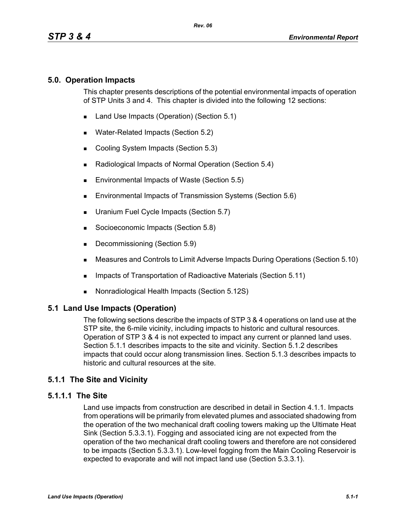## **5.0. Operation Impacts**

This chapter presents descriptions of the potential environmental impacts of operation of STP Units 3 and 4. This chapter is divided into the following 12 sections:

- Land Use Impacts (Operation) (Section 5.1)
- **Water-Related Impacts (Section 5.2)**
- Cooling System Impacts (Section 5.3)
- Radiological Impacts of Normal Operation (Section 5.4)
- Environmental Impacts of Waste (Section 5.5)
- **Environmental Impacts of Transmission Systems (Section 5.6)**
- **Uranium Fuel Cycle Impacts (Section 5.7)**
- Socioeconomic Impacts (Section 5.8)
- Decommissioning (Section 5.9)
- Measures and Controls to Limit Adverse Impacts During Operations (Section 5.10)
- **IMPACTER 15 Impacts of Transportation of Radioactive Materials (Section 5.11)**
- Nonradiological Health Impacts (Section 5.12S)

## **5.1 Land Use Impacts (Operation)**

The following sections describe the impacts of STP 3 & 4 operations on land use at the STP site, the 6-mile vicinity, including impacts to historic and cultural resources. Operation of STP 3 & 4 is not expected to impact any current or planned land uses. Section 5.1.1 describes impacts to the site and vicinity. Section 5.1.2 describes impacts that could occur along transmission lines. Section 5.1.3 describes impacts to historic and cultural resources at the site.

# **5.1.1 The Site and Vicinity**

## **5.1.1.1 The Site**

Land use impacts from construction are described in detail in Section 4.1.1. Impacts from operations will be primarily from elevated plumes and associated shadowing from the operation of the two mechanical draft cooling towers making up the Ultimate Heat Sink (Section 5.3.3.1). Fogging and associated icing are not expected from the operation of the two mechanical draft cooling towers and therefore are not considered to be impacts (Section 5.3.3.1). Low-level fogging from the Main Cooling Reservoir is expected to evaporate and will not impact land use (Section 5.3.3.1).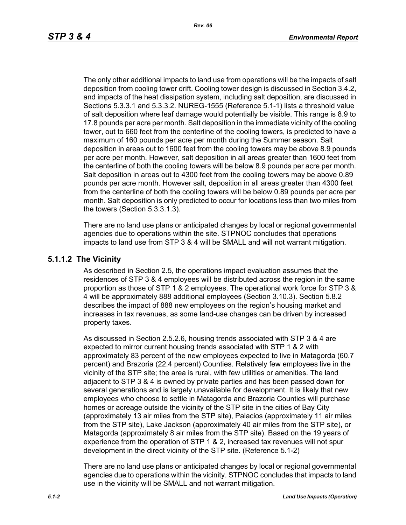The only other additional impacts to land use from operations will be the impacts of salt deposition from cooling tower drift. Cooling tower design is discussed in Section 3.4.2, and impacts of the heat dissipation system, including salt deposition, are discussed in Sections 5.3.3.1 and 5.3.3.2. NUREG-1555 (Reference 5.1-1) lists a threshold value of salt deposition where leaf damage would potentially be visible. This range is 8.9 to 17.8 pounds per acre per month. Salt deposition in the immediate vicinity of the cooling tower, out to 660 feet from the centerline of the cooling towers, is predicted to have a maximum of 160 pounds per acre per month during the Summer season. Salt deposition in areas out to 1600 feet from the cooling towers may be above 8.9 pounds per acre per month. However, salt deposition in all areas greater than 1600 feet from the centerline of both the cooling towers will be below 8.9 pounds per acre per month. Salt deposition in areas out to 4300 feet from the cooling towers may be above 0.89 pounds per acre month. However salt, deposition in all areas greater than 4300 feet from the centerline of both the cooling towers will be below 0.89 pounds per acre per month. Salt deposition is only predicted to occur for locations less than two miles from the towers (Section 5.3.3.1.3).

There are no land use plans or anticipated changes by local or regional governmental agencies due to operations within the site. STPNOC concludes that operations impacts to land use from STP 3 & 4 will be SMALL and will not warrant mitigation.

#### **5.1.1.2 The Vicinity**

As described in Section 2.5, the operations impact evaluation assumes that the residences of STP 3 & 4 employees will be distributed across the region in the same proportion as those of STP 1 & 2 employees. The operational work force for STP 3 & 4 will be approximately 888 additional employees (Section 3.10.3). Section 5.8.2 describes the impact of 888 new employees on the region's housing market and increases in tax revenues, as some land-use changes can be driven by increased property taxes.

As discussed in Section 2.5.2.6, housing trends associated with STP 3 & 4 are expected to mirror current housing trends associated with STP 1 & 2 with approximately 83 percent of the new employees expected to live in Matagorda (60.7 percent) and Brazoria (22.4 percent) Counties. Relatively few employees live in the vicinity of the STP site; the area is rural, with few utilities or amenities. The land adjacent to STP 3 & 4 is owned by private parties and has been passed down for several generations and is largely unavailable for development. It is likely that new employees who choose to settle in Matagorda and Brazoria Counties will purchase homes or acreage outside the vicinity of the STP site in the cities of Bay City (approximately 13 air miles from the STP site), Palacios (approximately 11 air miles from the STP site), Lake Jackson (approximately 40 air miles from the STP site), or Matagorda (approximately 8 air miles from the STP site). Based on the 19 years of experience from the operation of STP 1 & 2, increased tax revenues will not spur development in the direct vicinity of the STP site. (Reference 5.1-2)

There are no land use plans or anticipated changes by local or regional governmental agencies due to operations within the vicinity. STPNOC concludes that impacts to land use in the vicinity will be SMALL and not warrant mitigation.